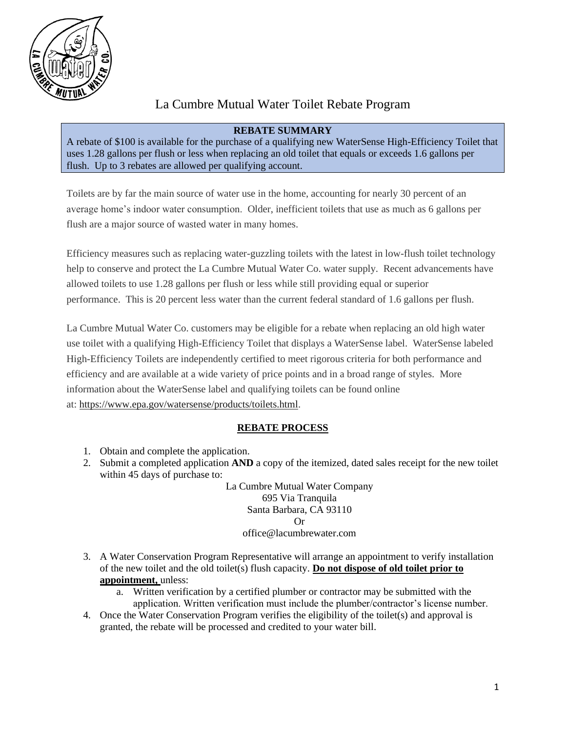

# La Cumbre Mutual Water Toilet Rebate Program

# **REBATE SUMMARY**

A rebate of \$100 is available for the purchase of a qualifying new WaterSense High-Efficiency Toilet that uses 1.28 gallons per flush or less when replacing an old toilet that equals or exceeds 1.6 gallons per flush. Up to 3 rebates are allowed per qualifying account.

Toilets are by far the main source of water use in the home, accounting for nearly 30 percent of an average home's indoor water consumption. Older, inefficient toilets that use as much as 6 gallons per flush are a major source of wasted water in many homes.

Efficiency measures such as replacing water-guzzling toilets with the latest in low-flush toilet technology help to conserve and protect the La Cumbre Mutual Water Co. water supply. Recent advancements have allowed toilets to use 1.28 gallons per flush or less while still providing equal or superior performance. This is 20 percent less water than the current federal standard of 1.6 gallons per flush.

La Cumbre Mutual Water Co. customers may be eligible for a rebate when replacing an old high water use toilet with a qualifying High-Efficiency Toilet that displays a WaterSense label. WaterSense labeled High-Efficiency Toilets are independently certified to meet rigorous criteria for both performance and efficiency and are available at a wide variety of price points and in a broad range of styles. More information about the WaterSense label and qualifying toilets can be found online at: [https://www.epa.gov/watersense/products/toilets.html.](https://www.epa.gov/watersense/products/toilets.html)

# **REBATE PROCESS**

- 1. Obtain and complete the application.
- 2. Submit a completed application **AND** a copy of the itemized, dated sales receipt for the new toilet within 45 days of purchase to:

La Cumbre Mutual Water Company 695 Via Tranquila Santa Barbara, CA 93110 Or office@lacumbrewater.com

- 3. A Water Conservation Program Representative will arrange an appointment to verify installation of the new toilet and the old toilet(s) flush capacity. **Do not dispose of old toilet prior to appointment,** unless:
	- a. Written verification by a certified plumber or contractor may be submitted with the application. Written verification must include the plumber/contractor's license number.
- 4. Once the Water Conservation Program verifies the eligibility of the toilet(s) and approval is granted, the rebate will be processed and credited to your water bill.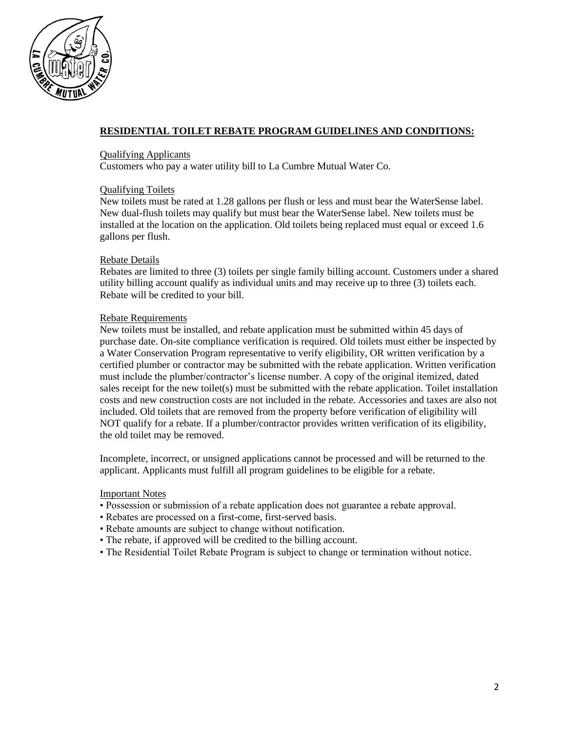

# **RESIDENTIAL TOILET REBATE PROGRAM GUIDELINES AND CONDITIONS:**

# Qualifying Applicants

Customers who pay a water utility bill to La Cumbre Mutual Water Co.

#### Qualifying Toilets

New toilets must be rated at 1.28 gallons per flush or less and must bear the WaterSense label. New dual-flush toilets may qualify but must bear the WaterSense label. New toilets must be installed at the location on the application. Old toilets being replaced must equal or exceed 1.6 gallons per flush.

#### Rebate Details

Rebates are limited to three (3) toilets per single family billing account. Customers under a shared utility billing account qualify as individual units and may receive up to three (3) toilets each. Rebate will be credited to your bill.

# Rebate Requirements

New toilets must be installed, and rebate application must be submitted within 45 days of purchase date. On-site compliance verification is required. Old toilets must either be inspected by a Water Conservation Program representative to verify eligibility, OR written verification by a certified plumber or contractor may be submitted with the rebate application. Written verification must include the plumber/contractor's license number. A copy of the original itemized, dated sales receipt for the new toilet(s) must be submitted with the rebate application. Toilet installation costs and new construction costs are not included in the rebate. Accessories and taxes are also not included. Old toilets that are removed from the property before verification of eligibility will NOT qualify for a rebate. If a plumber/contractor provides written verification of its eligibility, the old toilet may be removed.

Incomplete, incorrect, or unsigned applications cannot be processed and will be returned to the applicant. Applicants must fulfill all program guidelines to be eligible for a rebate.

#### Important Notes

- Possession or submission of a rebate application does not guarantee a rebate approval.
- Rebates are processed on a first-come, first-served basis.
- Rebate amounts are subject to change without notification.
- The rebate, if approved will be credited to the billing account.
- The Residential Toilet Rebate Program is subject to change or termination without notice.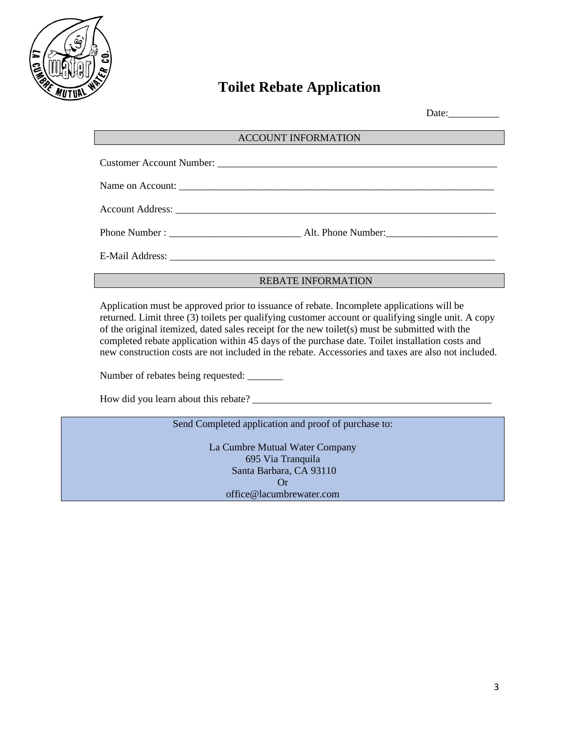

# **Toilet Rebate Application**

Date:

#### ACCOUNT INFORMATION

| Account Address: <u>Account Address</u> |
|-----------------------------------------|
|                                         |
|                                         |

## REBATE INFORMATION

Application must be approved prior to issuance of rebate. Incomplete applications will be returned. Limit three (3) toilets per qualifying customer account or qualifying single unit. A copy of the original itemized, dated sales receipt for the new toilet(s) must be submitted with the completed rebate application within 45 days of the purchase date. Toilet installation costs and new construction costs are not included in the rebate. Accessories and taxes are also not included.

Number of rebates being requested: \_\_\_\_\_\_\_\_

How did you learn about this rebate? \_\_\_\_\_\_\_\_\_\_\_\_\_\_\_\_\_\_\_\_\_\_\_\_\_\_\_\_\_\_\_\_\_\_\_\_\_\_\_\_\_\_\_\_\_\_\_

#### Send Completed application and proof of purchase to:

La Cumbre Mutual Water Company 695 Via Tranquila Santa Barbara, CA 93110 Or office@lacumbrewater.com